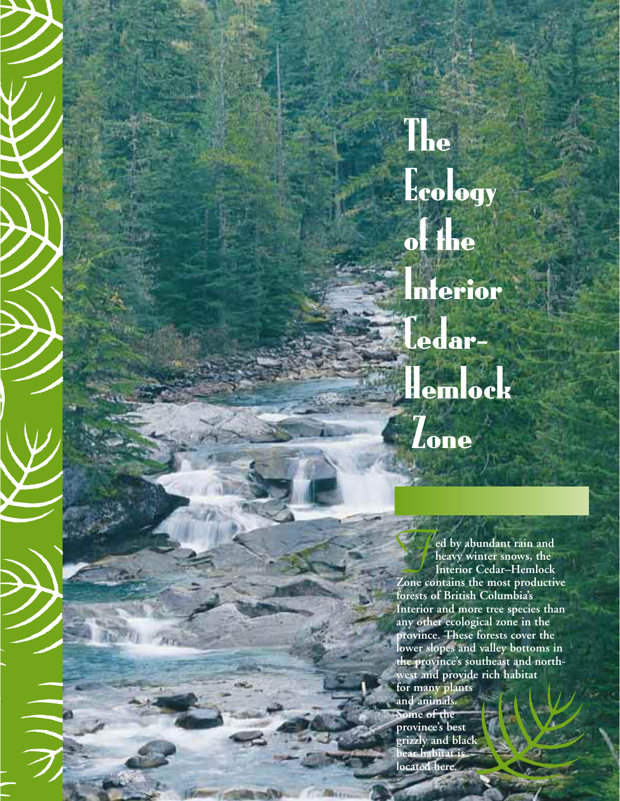The Ecology of the Interior Cedar– Hemlock **Zone** 

*F***ed by abundant rain and heavy winter snows, the Interior Cedar–Hemlock Zone contains the most productive forests of British Columbia's Interior and more tree species than any other ecological zone in the province. These forests cover the lower slopes and valley bottoms in the province's southeast and northwest and provide rich habitat for many plants and animals. Some of the province's best grizzly and black bear habitat is located here.**

**AD**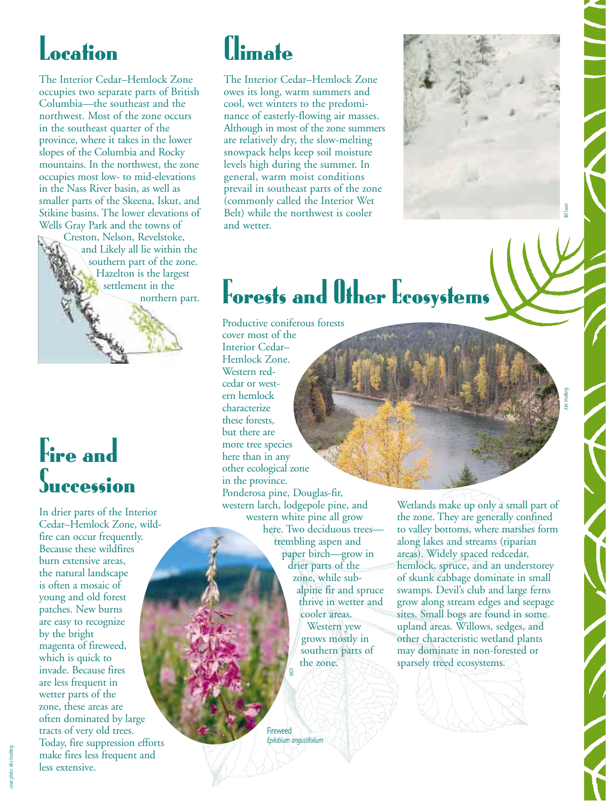### Location

The Interior Cedar–Hemlock Zone occupies two separate parts of British Columbia—the southeast and the northwest. Most of the zone occurs in the southeast quarter of the province, where it takes in the lower slopes of the Columbia and Rocky mountains. In the northwest, the zone occupies most low- to mid-elevations in the Nass River basin, as well as smaller parts of the Skeena, Iskut, and Stikine basins. The lower elevations of Wells Gray Park and the towns of

Creston, Nelson, Revelstoke, and Likely all lie within the southern part of the zone. Hazelton is the largest settlement in the northern part.

#### Fire and **Succession**

In drier parts of the Interior Cedar–Hemlock Zone, wildfire can occur frequently. Because these wildfires burn extensive areas, the natural landscape is often a mosaic of young and old forest patches. New burns are easy to recognize by the bright magenta of fireweed, which is quick to invade. Because fires are less frequent in wetter parts of the zone, these areas are often dominated by large tracts of very old trees. Today, fire suppression efforts make fires less frequent and less extensive.

### llimate

The Interior Cedar–Hemlock Zone owes its long, warm summers and cool, wet winters to the predominance of easterly-flowing air masses. Although in most of the zone summers are relatively dry, the slow-melting snowpack helps keep soil moisture levels high during the summer. In general, warm moist conditions prevail in southeast parts of the zone (commonly called the Interior Wet Belt) while the northwest is cooler and wetter.



### Forests and Other Ecosystems

Productive coniferous forests cover most of the Interior Cedar– Hemlock Zone. Western redcedar or western hemlock characterize these forests, but there are more tree species here than in any other ecological zone in the province. Ponderosa pine, Douglas-fir, western larch, lodgepole pine, and western white pine all grow here. Two deciduous trees trembling aspen and paper birch—grow in

drier parts of the zone, while subalpine fir and spruce thrive in wetter and cooler areas. Western yew grows mostly in southern parts of the zone.

ireweed *Epilobium angustifolium*

*MOF*

Wetlands make up only a small part of the zone. They are generally confined to valley bottoms, where marshes form along lakes and streams (riparian areas). Widely spaced redcedar, hemlock, spruce, and an understorey of skunk cabbage dominate in small swamps. Devil's club and large ferns grow along stream edges and seepage sites. Small bogs are found in some upland areas. Willows, sedges, and other characteristic wetland plants may dominate in non-forested or sparsely treed ecosystems.

*Alex Inselberg*

*cover photo: Alex Inselberg*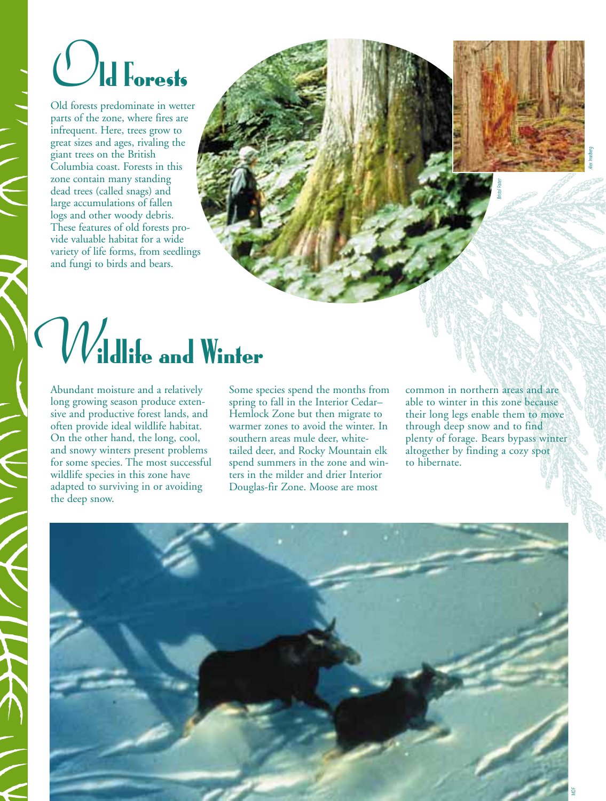# *O*ld Forests

Old forests predominate in wetter parts of the zone, where fires are infrequent. Here, trees grow to great sizes and ages, rivaling the giant trees on the British Columbia coast. Forests in this zone contain many standing dead trees (called snags) and large accumulations of fallen logs and other woody debris. These features of old forests provide valuable habitat for a wide variety of life forms, from seedlings and fungi to birds and bears.

# *W*ildlife and Winter

Abundant moisture and a relatively long growing season produce extensive and productive forest lands, and often provide ideal wildlife habitat. On the other hand, the long, cool, and snowy winters present problems for some species. The most successful wildlife species in this zone have adapted to surviving in or avoiding the deep snow.

Some species spend the months from spring to fall in the Interior Cedar– Hemlock Zone but then migrate to warmer zones to avoid the winter. In southern areas mule deer, whitetailed deer, and Rocky Mountain elk spend summers in the zone and winters in the milder and drier Interior Douglas-fir Zone. Moose are most

common in northern areas and are able to winter in this zone because their long legs enable them to move through deep snow and to find plenty of forage. Bears bypass winter altogether by finding a cozy spot to hibernate.

*Bristol Foster*

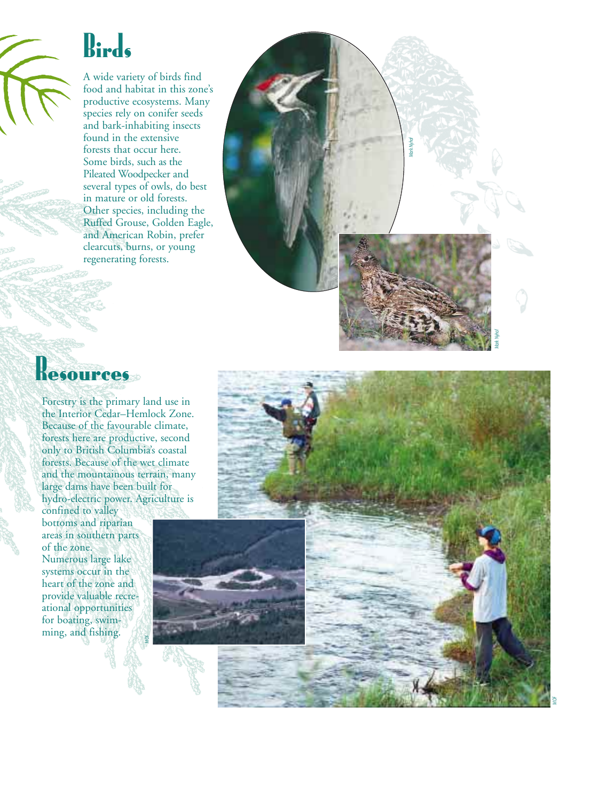

### Birds

A wide variety of birds find food and habitat in this zone's productive ecosystems. Many species rely on conifer seeds and bark-inhabiting insects found in the extensive forests that occur here. Some birds, such as the Pileated Woodpecker and several types of owls, do best in mature or old forests. Other species, including the Ruffed Grouse, Golden Eagle, and American Robin, prefer clearcuts, burns, or young regenerating forests.



### Resources

Forestry is the primary land use in the Interior Cedar–Hemlock Zone. Because of the favourable climate, forests here are productive, second only to British Columbia's coastal forests. Because of the wet climate and the mountainous terrain, many large dams have been built for hydro-electric power. Agriculture is

*MOF*

confined to valley bottoms and riparian areas in southern parts of the zone. Numerous large lake systems occur in the heart of the zone and provide valuable recreational opportunities for boating, swimming, and fishing.



*MOF*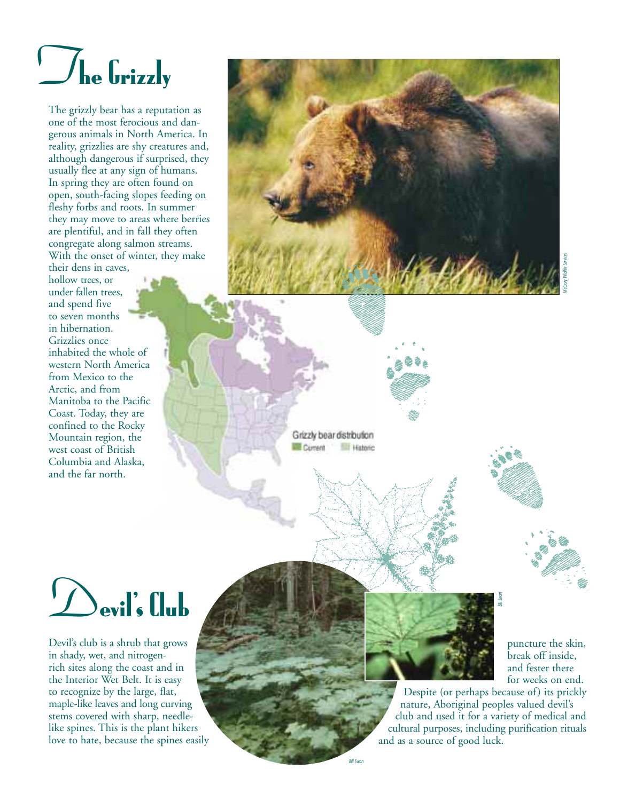### *T*he Grizzly

The grizzly bear has a reputation as one of the most ferocious and dangerous animals in North America. In reality, grizzlies are shy creatures and, although dangerous if surprised, they usually flee at any sign of humans. In spring they are often found on open, south-facing slopes feeding on fleshy forbs and roots. In summer they may move to areas where berries are plentiful, and in fall they often congregate along salmon streams. With the onset of winter, they make

their dens in caves, hollow trees, or under fallen trees, and spend five to seven months in hibernation. Grizzlies once inhabited the whole of western North America from Mexico to the Arctic, and from Manitoba to the Pacific Coast. Today, they are confined to the Rocky Mountain region, the west coast of British Columbia and Alaska, and the far north.



Grizzly bear distribution Current **Ell Historic** 



Devil's club is a shrub that grows in shady, wet, and nitrogenrich sites along the coast and in the Interior Wet Belt. It is easy to recognize by the large, flat, maple-like leaves and long curving stems covered with sharp, needlelike spines. This is the plant hikers love to hate, because the spines easily



puncture the skin, break off inside, and fester there for weeks on end.

Despite (or perhaps because of) its prickly nature, Aboriginal peoples valued devil's club and used it for a variety of medical and cultural purposes, including purification rituals<br>and as a source of good luck.